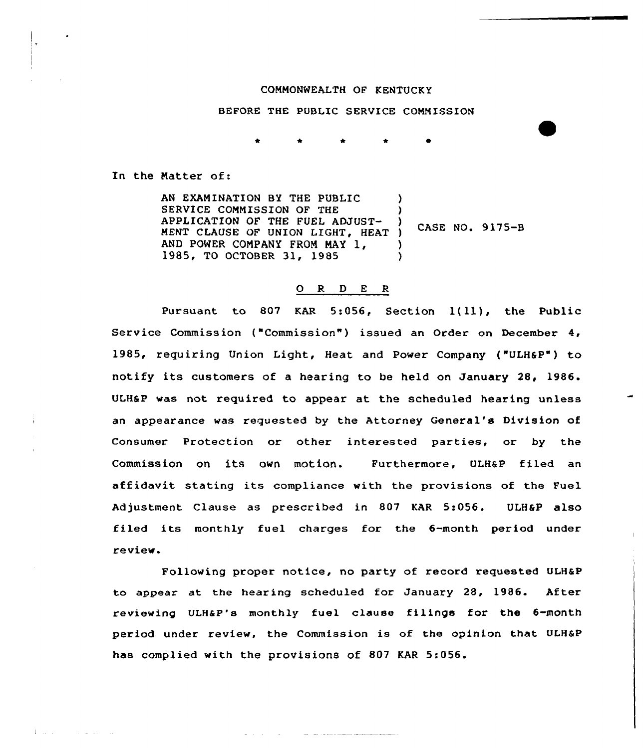## COMMONWEALTH OF KENTUCKY

## BEFORE THE PUBLIC SERUICE COMMISSION

In the Natter of:

 $\Gamma$  and  $\Gamma$  and  $\Gamma$ 

المداري الدارات

AN EXAMINATION BY THE PUBLIC SERUICE COMMISSION OF THE APPLICATION OF THE FUEL ADJUST-APPLICATION OF THE FUEL ADJUST-<br>MENT CLAUSE OF UNION LIGHT, HEAT ) AND POWER COMPANY FROM MAY 1, 1985, TO OCTOBER 31, 1985 ) ) ) CASE NO. 9 175-B ) )

## 0 R <sup>D</sup> E <sup>R</sup>

Pursuant to 807 KAR 5:056, Section 1(11), the Public Service Commission ("Commission") issued an Order on December 4, 1985, requiring Union Light, Heat and Power Company ("ULH6P") to notify its customers of a hearing to be held on January 28, 1986. ULHSP was not required to appear at the scheduled hearing unless an appearance was requested by the Attorney General's Division of Consumer Protection or other interested parties, or by the Commission on its own motion. Furthermore, ULH&P filed an affidavit stating its compliance with the provisions of the Fuel Adjustment Clause as prescribed in 807 KAR 5:056. ULH&P also filed its monthly fuel charges for the 6-month period under review.

Following proper notice, no party of record requested ULHaP to appear at the hearing scheduled for January 28, 1986. After reviewing VLHaP's monthly fuel clause filings for the 6-month period under review, the Commission is of the opinion that ULH6P has complied with the provisions of 807 KAR 5:056.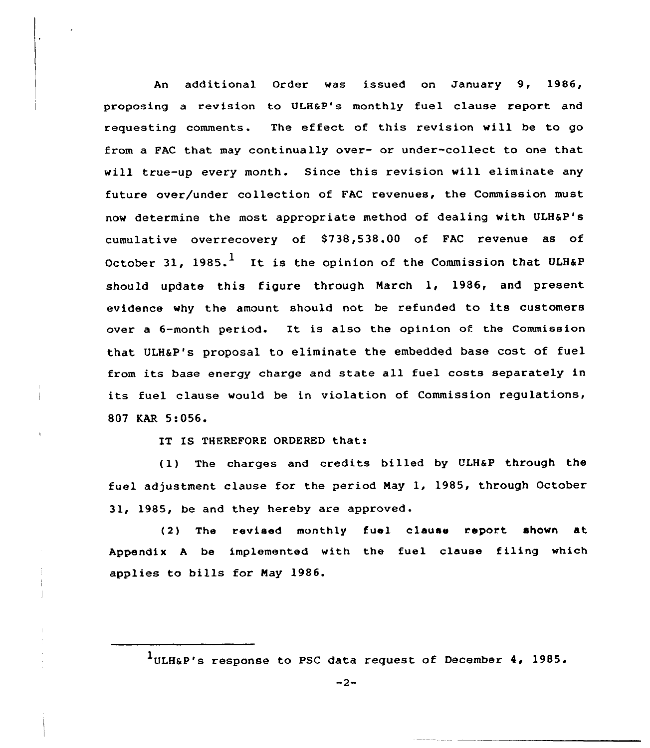An additional Order was issued on January 9, 1986, proposing a revision to ULHsP's monthly fuel clause report and requesting comments. The effect of this revision will. be to go from a FAC that may continually over- or under-collect to one that will true-up every month. Since this revision will eliminate any future over/under collection of FAC revenues, the Commission must now determine the most appropriate method of dealing with ULH&P's cumulative overrecovery of 8738,538.00 of FAC revenue as of October 31, 1985.<sup>1</sup> It is the opinion of the Commission that ULH&P should update this figure through March 1, 1986, and present evidence why the amount should not be refunded to its customers over <sup>a</sup> 6-month period. It is also the opinion of the Commission that ULHaP's proposal to eliminate the embedded base cost of fuel from its base energy charge and state all fuel costs separately in its fuel clause would be in violation of Commission regulations, 807 KAR 5:056.

IT IS THEREFORE ORDERED that:

(1) The charges and credits billed by ULH&P through the fuel adjustment clause for the period May 1, 1985, through October 31, 1985, be and they hereby are approved.

(2) The revised monthly fuel clause report shown at Appendix A be implemented with the fuel clause filing which applies to bills for May 1986.

 $1$ ULH&P's response to PSC data request of December 4, 1985.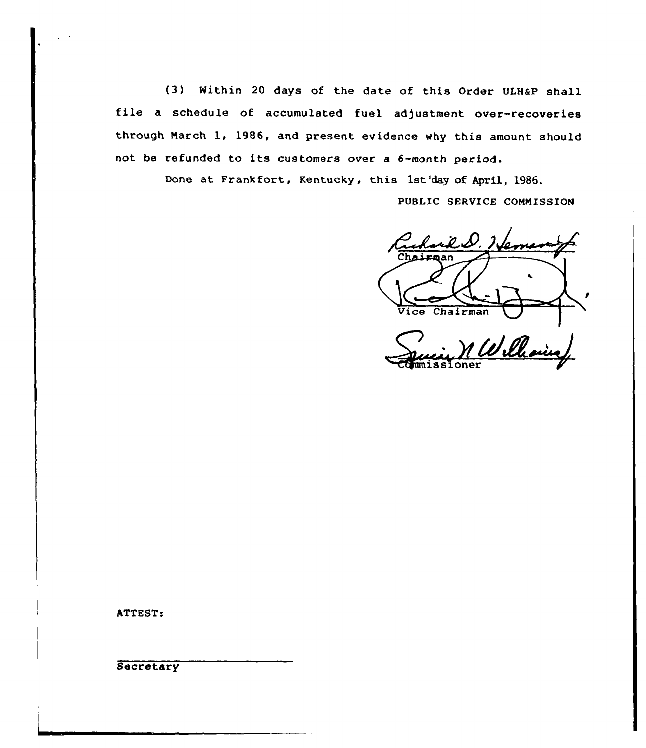(3) Within 20 days of the date of this Order ULHSP shall file a schedule of accumulated fuel adjustment over-recoveries through March 1, 1986, and present evidence why this amount should not be refunded to its customers over <sup>a</sup> 6-month period.

Done at Frankfort, Kentucky, this 1st'day of April, 1986.

PUBLIC SERVICE CONNISSION

<u>il D. L.</u> Vice Chairman 1 Williamin

Toner

ATTEST:

**Secretary**